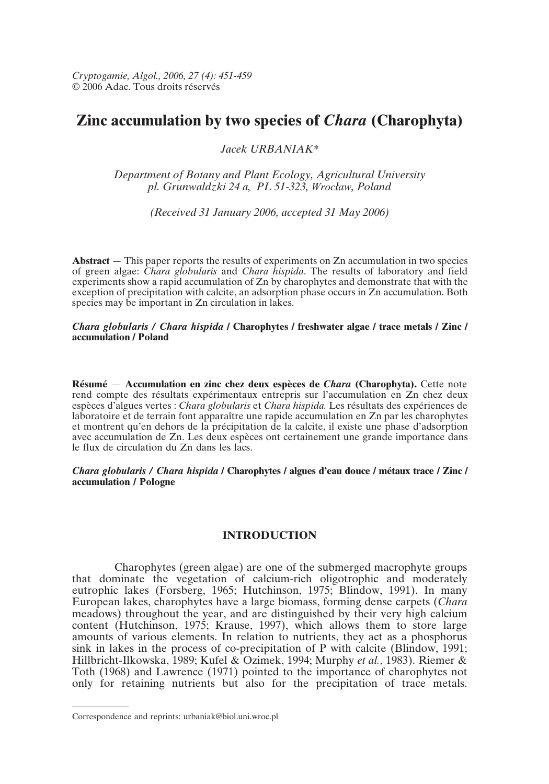*Cryptogamie, Algol., 2006, 27 (4): 451-459* © 2006 Adac. Tous droits réservés

# **Zinc accumulation by two species of** *Chara* **(Charophyta)**

# *Jacek URBANIAK\**

*Department of Botany and Plant Ecology, Agricultural University pl. Grunwaldzki 24 a, PL 51-323, Wrocflaw, Poland*

*(Received 31 January 2006, accepted 31 May 2006)*

**Abstract** — This paper reports the results of experiments on Zn accumulation in two species of green algae: *Chara globularis* and *Chara hispida*. The results of laboratory and field experiments show a rapid accumulation of Zn by charophytes and demonstrate that with the exception of precipitation with calcite, an adsorption phase occurs in Zn accumulation. Both species may be important in Zn circulation in lakes.

*Chara globularis / Chara hispida* **/ Charophytes / freshwater algae / trace metals / Zinc / accumulation / Poland**

**Résumé** — **Accumulation en zinc chez deux espèces de** *Chara* **(Charophyta).** Cette note rend compte des résultats expérimentaux entrepris sur l'accumulation en Zn chez deux espèces d'algues vertes : *Chara globularis* et *Chara hispida.* Les résultats des expériences de laboratoire et de terrain font apparaître une rapide accumulation en Zn par les charophytes et montrent qu'en dehors de la précipitation de la calcite, il existe une phase d'adsorption avec accumulation de Zn. Les deux espèces ont certainement une grande importance dans le flux de circulation du Zn dans les lacs.

*Chara globularis / Chara hispida* **/ Charophytes / algues d'eau douce / métaux trace / Zinc / accumulation / Pologne**

# **INTRODUCTION**

Charophytes (green algae) are one of the submerged macrophyte groups that dominate the vegetation of calcium-rich oligotrophic and moderately eutrophic lakes (Forsberg, 1965; Hutchinson, 1975; Blindow, 1991). In many European lakes, charophytes have a large biomass, forming dense carpets (*Chara* meadows) throughout the year, and are distinguished by their very high calcium content (Hutchinson, 1975; Krause, 1997), which allows them to store large amounts of various elements. In relation to nutrients, they act as a phosphorus sink in lakes in the process of co-precipitation of P with calcite (Blindow, 1991; Hillbricht-Ilkowska, 1989; Kufel & Ozimek, 1994; Murphy *et al.*, 1983). Riemer & Toth (1968) and Lawrence (1971) pointed to the importance of charophytes not only for retaining nutrients but also for the precipitation of trace metals.

Correspondence and reprints: urbaniak@biol.uni.wroc.pl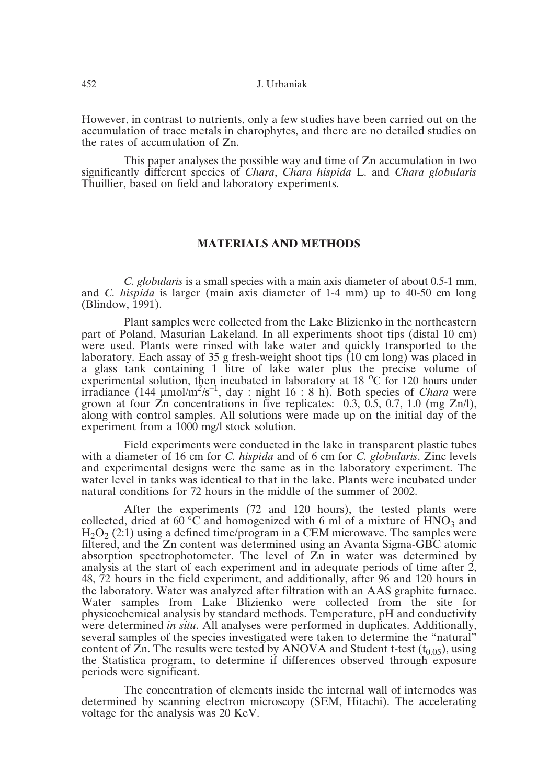452 J. Urbaniak

However, in contrast to nutrients, only a few studies have been carried out on the accumulation of trace metals in charophytes, and there are no detailed studies on the rates of accumulation of Zn.

This paper analyses the possible way and time of Zn accumulation in two significantly different species of *Chara*, *Chara hispida* L. and *Chara globularis* Thuillier, based on field and laboratory experiments.

## **MATERIALS AND METHODS**

*C. globularis* is a small species with a main axis diameter of about 0.5-1 mm, and *C. hispida* is larger (main axis diameter of 1-4 mm) up to 40-50 cm long (Blindow, 1991).

Plant samples were collected from the Lake Blizienko in the northeastern part of Poland, Masurian Lakeland. In all experiments shoot tips (distal 10 cm) were used. Plants were rinsed with lake water and quickly transported to the laboratory. Each assay of 35 g fresh-weight shoot tips (10 cm long) was placed in a glass tank containing 1 litre of lake water plus the precise volume of experimental solution, then incubated in laboratory at 18  $^{\circ}$ C for 120 hours under irradiance (144 µmol/m*<sup>2</sup>*/s–1, day : night 16 : 8 h). Both species of *Chara* were grown at four  $\overline{Z}$ n concentrations in five replicates: 0.3, 0.5, 0.7, 1.0 (mg  $\overline{Z}n/l$ ), along with control samples. All solutions were made up on the initial day of the experiment from a 1000 mg/l stock solution.

Field experiments were conducted in the lake in transparent plastic tubes with a diameter of 16 cm for *C. hispida* and of 6 cm for *C. globularis*. Zinc levels and experimental designs were the same as in the laboratory experiment. The water level in tanks was identical to that in the lake. Plants were incubated under natural conditions for 72 hours in the middle of the summer of 2002.

After the experiments (72 and 120 hours), the tested plants were collected, dried at 60  $\degree$ C and homogenized with 6 ml of a mixture of HNO<sub>3</sub> and  $H<sub>2</sub>O<sub>2</sub>$  (2:1) using a defined time/program in a CEM microwave. The samples were filtered, and the Zn content was determined using an Avanta Sigma-GBC atomic absorption spectrophotometer. The level of Zn in water was determined by analysis at the start of each experiment and in adequate periods of time after 2, 48, 72 hours in the field experiment, and additionally, after 96 and 120 hours in the laboratory. Water was analyzed after filtration with an AAS graphite furnace. Water samples from Lake Blizienko were collected from the site for physicochemical analysis by standard methods. Temperature, pH and conductivity were determined *in situ*. All analyses were performed in duplicates. Additionally, several samples of the species investigated were taken to determine the "natural" content of  $\overline{Z}$ n. The results were tested by ANOVA and Student t-test (t<sub>0.05</sub>), using the Statistica program, to determine if differences observed through exposure periods were significant.

The concentration of elements inside the internal wall of internodes was determined by scanning electron microscopy (SEM, Hitachi). The accelerating voltage for the analysis was 20 KeV.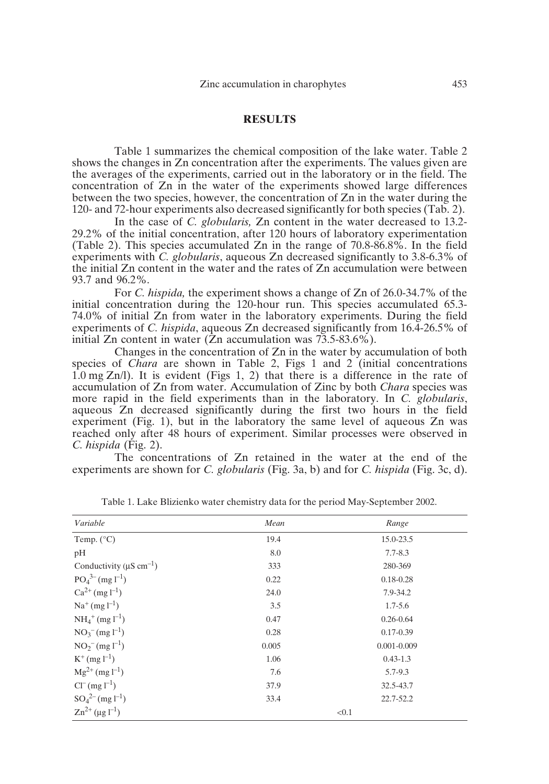## **RESULTS**

Table 1 summarizes the chemical composition of the lake water. Table 2 shows the changes in Zn concentration after the experiments. The values given are the averages of the experiments, carried out in the laboratory or in the field. The concentration of Zn in the water of the experiments showed large differences between the two species, however, the concentration of Zn in the water during the 120- and 72-hour experiments also decreased significantly for both species (Tab. 2).

In the case of *C. globularis,* Zn content in the water decreased to 13.2- 29.2% of the initial concentration, after 120 hours of laboratory experimentation (Table 2). This species accumulated Zn in the range of 70.8-86.8%. In the field experiments with *C. globularis*, aqueous Zn decreased significantly to 3.8-6.3% of the initial Zn content in the water and the rates of Zn accumulation were between 93.7 and 96.2%.

For *C. hispida,* the experiment shows a change of Zn of 26.0-34.7% of the initial concentration during the 120-hour run. This species accumulated 65.3- 74.0% of initial Zn from water in the laboratory experiments. During the field experiments of *C. hispida*, aqueous Zn decreased significantly from 16.4-26.5% of initial Zn content in water (Zn accumulation was 73.5-83.6%).

Changes in the concentration of Zn in the water by accumulation of both species of *Chara* are shown in Table 2, Figs 1 and 2 (initial concentrations 1.0 mg Zn/l). It is evident (Figs 1, 2) that there is a difference in the rate of accumulation of Zn from water. Accumulation of Zinc by both *Chara* species was more rapid in the field experiments than in the laboratory. In *C. globularis*, aqueous Zn decreased significantly during the first two hours in the field experiment (Fig. 1), but in the laboratory the same level of aqueous Zn was reached only after 48 hours of experiment. Similar processes were observed in *C. hispida* (Fig. 2).

The concentrations of Zn retained in the water at the end of the experiments are shown for *C. globularis* (Fig. 3a, b) and for *C. hispida* (Fig. 3c, d).

| Variable                                  | Mean  | Range           |
|-------------------------------------------|-------|-----------------|
| Temp. $(^{\circ}C)$                       | 19.4  | 15.0-23.5       |
| pH                                        | 8.0   | $7.7 - 8.3$     |
| Conductivity ( $\mu$ S cm <sup>-1</sup> ) | 333   | 280-369         |
| $PO_4^{3-}$ (mg l <sup>-1</sup> )         | 0.22  | $0.18 - 0.28$   |
| $Ca^{2+}$ (mg $l^{-1}$ )                  | 24.0  | 7.9-34.2        |
| $Na^{+}$ (mg $l^{-1}$ )                   | 3.5   | $1.7 - 5.6$     |
| $NH_4^+$ (mg l <sup>-1</sup> )            | 0.47  | $0.26 - 0.64$   |
| $NO_3^{-}$ (mg l <sup>-1</sup> )          | 0.28  | $0.17 - 0.39$   |
| $NO2- (mg l-1)$                           | 0.005 | $0.001 - 0.009$ |
| $K^+$ (mg $l^{-1}$ )                      | 1.06  | $0.43 - 1.3$    |
| $Mg^{2+} (mg l^{-1})$                     | 7.6   | 5.7-9.3         |
| $Cl^{-} (mg l^{-1})$                      | 37.9  | 32.5-43.7       |
| $SO_4^{2-}$ (mg l <sup>-1</sup> )         | 33.4  | 22.7-52.2       |
| $\text{Zn}^{2+}$ (µg l <sup>-1</sup> )    |       | < 0.1           |

Table 1. Lake Blizienko water chemistry data for the period May-September 2002.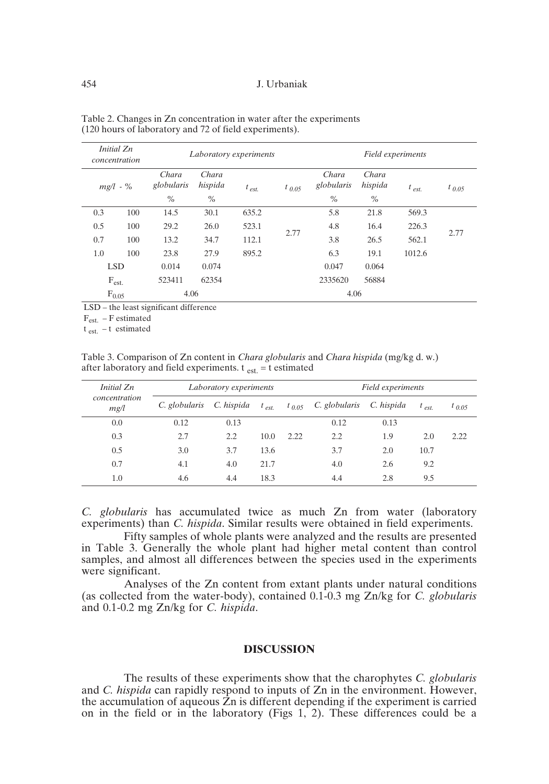#### 454 J. Urbaniak

| Initial Zn<br>concentration |     |                     | Laboratory experiments |            | Field experiments |                     |                  |            |            |
|-----------------------------|-----|---------------------|------------------------|------------|-------------------|---------------------|------------------|------------|------------|
| $mg/l - %$                  |     | Chara<br>globularis | Chara<br>hispida       | $t_{est.}$ | $t_{0.05}$        | Chara<br>globularis | Chara<br>hispida | $t_{est.}$ | $t_{0.05}$ |
|                             |     | $\%$                | $\%$                   |            |                   | $\%$                | $\frac{0}{0}$    |            |            |
| 0.3                         | 100 | 14.5                | 30.1                   | 635.2      |                   | 5.8                 | 21.8             | 569.3      |            |
| 0.5                         | 100 | 29.2                | 26.0                   | 523.1      | 2.77              | 4.8                 | 16.4             | 226.3      | 2.77       |
| 0.7                         | 100 | 13.2                | 34.7                   | 112.1      |                   | 3.8                 | 26.5             | 562.1      |            |
| 1.0                         | 100 | 23.8                | 27.9                   | 895.2      |                   | 6.3                 | 19.1             | 1012.6     |            |
| <b>LSD</b>                  |     | 0.014               | 0.074                  |            |                   | 0.047               | 0.064            |            |            |
| $F_{est.}$                  |     | 523411              | 62354                  |            |                   | 2335620             | 56884            |            |            |
| 4.06<br>$F_{0.05}$          |     |                     | 4.06                   |            |                   |                     |                  |            |            |

| Table 2. Changes in Zn concentration in water after the experiments |  |
|---------------------------------------------------------------------|--|
| (120 hours of laboratory and 72 of field experiments).              |  |

LSD – the least significant difference

 $\rm F_{\rm est.}$  –  $\rm F$  estimated

 $t_{est.}$  – t estimated

Table 3. Comparison of Zn content in *Chara globularis* and *Chara hispida* (mg/kg d. w.) after laboratory and field experiments.  $t_{est} = t$  estimated

| Initial Zn            | Laboratory experiments |            |           | Field experiments |                          |            |           |            |
|-----------------------|------------------------|------------|-----------|-------------------|--------------------------|------------|-----------|------------|
| concentration<br>mg/l | C. globularis          | C. hispida | $t_{est}$ |                   | $t_{0.05}$ C. globularis | C. hispida | $t_{est}$ | $t_{0.05}$ |
| 0.0                   | 0.12                   | 0.13       |           |                   | 0.12                     | 0.13       |           |            |
| 0.3                   | 2.7                    | 2.2        | 10.0      | 2.22              | 2.2                      | 1.9        | 2.0       | 2.22       |
| 0.5                   | 3.0                    | 3.7        | 13.6      |                   | 3.7                      | 2.0        | 10.7      |            |
| 0.7                   | 4.1                    | 4.0        | 21.7      |                   | 4.0                      | 2.6        | 9.2       |            |
| 1.0                   | 4.6                    | 4.4        | 18.3      |                   | 4.4                      | 2.8        | 9.5       |            |

*C. globularis* has accumulated twice as much Zn from water (laboratory experiments) than *C. hispida*. Similar results were obtained in field experiments.

Fifty samples of whole plants were analyzed and the results are presented in Table 3. Generally the whole plant had higher metal content than control samples, and almost all differences between the species used in the experiments were significant.

Analyses of the Zn content from extant plants under natural conditions (as collected from the water-body), contained 0.1-0.3 mg Zn/kg for *C. globularis* and 0.1-0.2 mg Zn/kg for *C. hispida*.

# **DISCUSSION**

The results of these experiments show that the charophytes *C. globularis* and *C. hispida* can rapidly respond to inputs of Zn in the environment. However, the accumulation of aqueous Zn is different depending if the experiment is carried on in the field or in the laboratory (Figs 1, 2). These differences could be a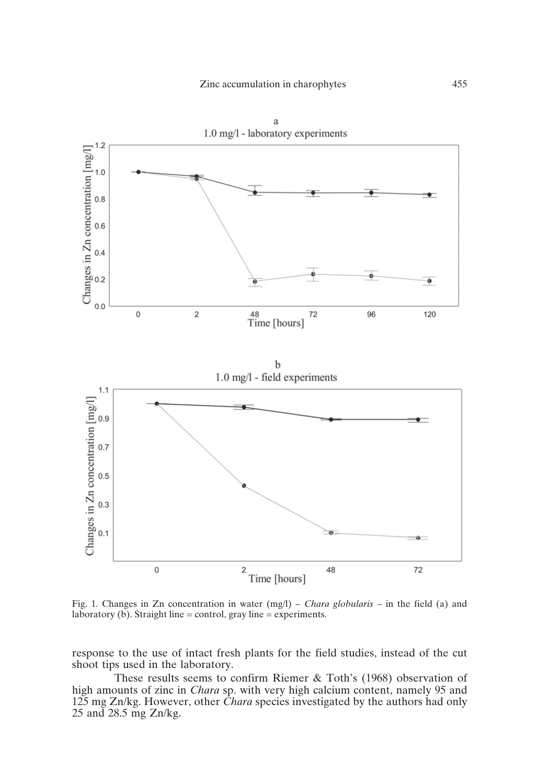

Fig. 1. Changes in Zn concentration in water (mg/l) – *Chara globularis* – in the field (a) and laboratory (b). Straight line = control, gray line = experiments.

response to the use of intact fresh plants for the field studies, instead of the cut shoot tips used in the laboratory.

These results seems to confirm Riemer & Toth's (1968) observation of high amounts of zinc in *Chara* sp. with very high calcium content, namely 95 and 125 mg Zn/kg. However, other *Chara* species investigated by the authors had only 25 and 28.5 mg Zn/kg.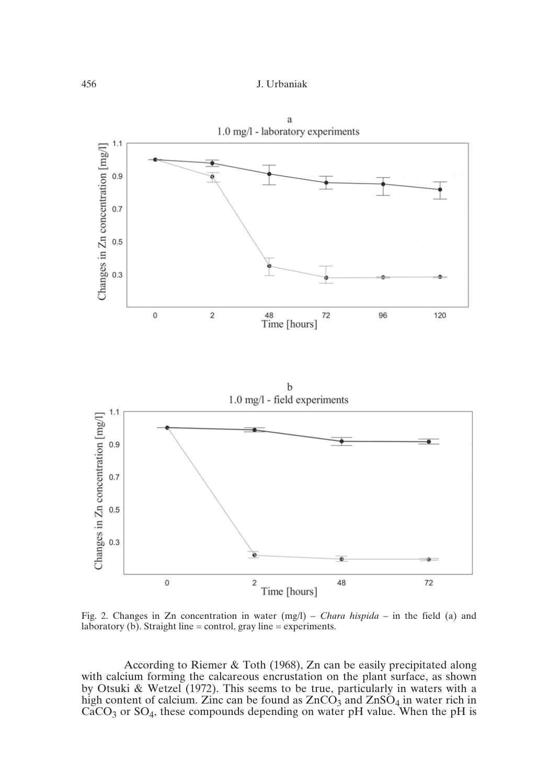





Fig. 2. Changes in Zn concentration in water (mg/l) – *Chara hispida –* in the field (a) and laboratory (b). Straight line = control, gray line = experiments.

According to Riemer & Toth (1968), Zn can be easily precipitated along with calcium forming the calcareous encrustation on the plant surface, as shown by Otsuki & Wetzel (1972). This seems to be true, particularly in waters with a high content of calcium. Zinc can be found as  $ZnCO<sub>3</sub>$  and  $ZnSO<sub>4</sub>$  in water rich in  $CaCO<sub>3</sub>$  or  $SO<sub>4</sub>$ , these compounds depending on water pH value. When the pH is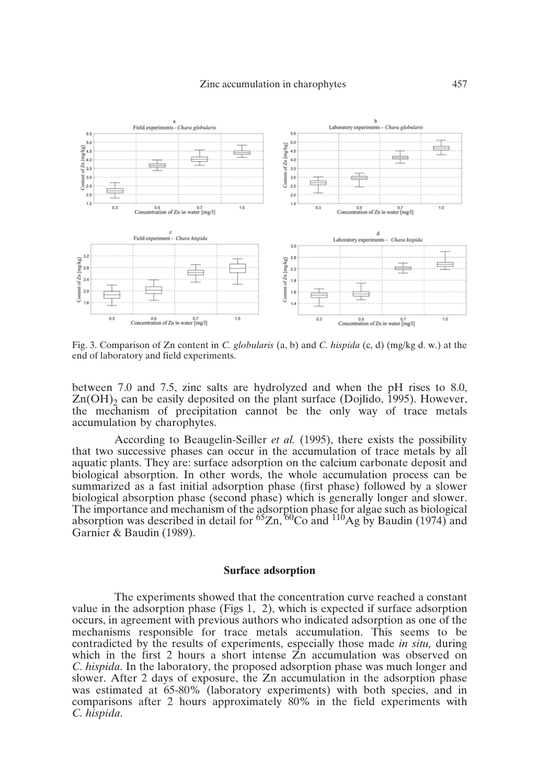

Fig. 3. Comparison of Zn content in *C. globularis* (a, b) and *C. hispida* (c, d) (mg/kg d. w.) at the end of laboratory and field experiments.

between 7.0 and 7.5, zinc salts are hydrolyzed and when the pH rises to 8.0,  $Zn(OH)$  can be easily deposited on the plant surface (Dojlido, 1995). However, the mechanism of precipitation cannot be the only way of trace metals accumulation by charophytes.

According to Beaugelin-Seiller *et al.* (1995), there exists the possibility that two successive phases can occur in the accumulation of trace metals by all aquatic plants. They are: surface adsorption on the calcium carbonate deposit and biological absorption. In other words, the whole accumulation process can be summarized as a fast initial adsorption phase (first phase) followed by a slower biological absorption phase (second phase) which is generally longer and slower. The importance and mechanism of the adsorption phase for algae such as biological absorption was described in detail for  ${}^{65}Zn$ ,  ${}^{60}Co$  and  ${}^{110}Ag$  by Baudin (1974) and Garnier & Baudin (1989).

## **Surface adsorption**

The experiments showed that the concentration curve reached a constant value in the adsorption phase (Figs 1, 2), which is expected if surface adsorption occurs, in agreement with previous authors who indicated adsorption as one of the mechanisms responsible for trace metals accumulation. This seems to be contradicted by the results of experiments, especially those made *in situ,* during which in the first 2 hours a short intense  $\overline{Z}$ n accumulation was observed on *C. hispida*. In the laboratory, the proposed adsorption phase was much longer and slower. After 2 days of exposure, the Zn accumulation in the adsorption phase was estimated at 65-80% (laboratory experiments) with both species, and in comparisons after 2 hours approximately 80% in the field experiments with *C. hispida*.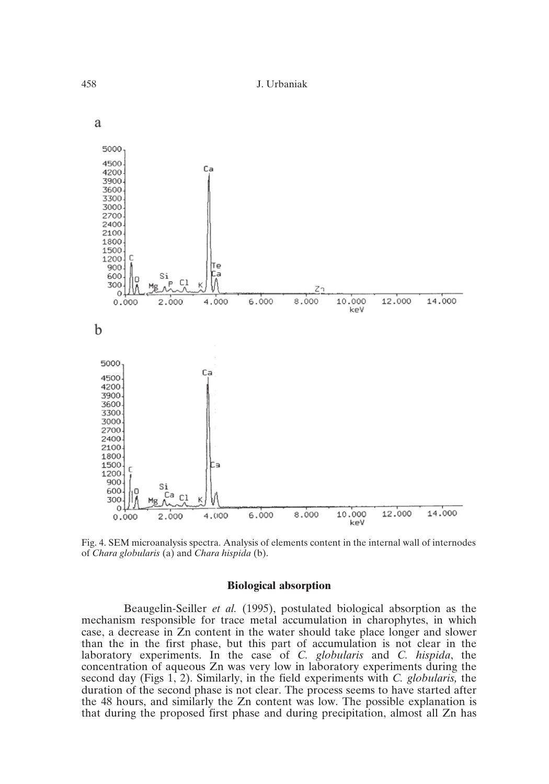

Fig. 4. SEM microanalysis spectra. Analysis of elements content in the internal wall of internodes of *Chara globularis* (a) and *Chara hispida* (b).

#### **Biological absorption**

Beaugelin-Seiller *et al.* (1995), postulated biological absorption as the mechanism responsible for trace metal accumulation in charophytes, in which case, a decrease in Zn content in the water should take place longer and slower than the in the first phase, but this part of accumulation is not clear in the laboratory experiments. In the case of *C. globularis* and *C. hispida*, the concentration of aqueous Zn was very low in laboratory experiments during the second day (Figs 1, 2). Similarly, in the field experiments with *C. globularis,* the duration of the second phase is not clear. The process seems to have started after the 48 hours, and similarly the Zn content was low. The possible explanation is that during the proposed first phase and during precipitation, almost all Zn has